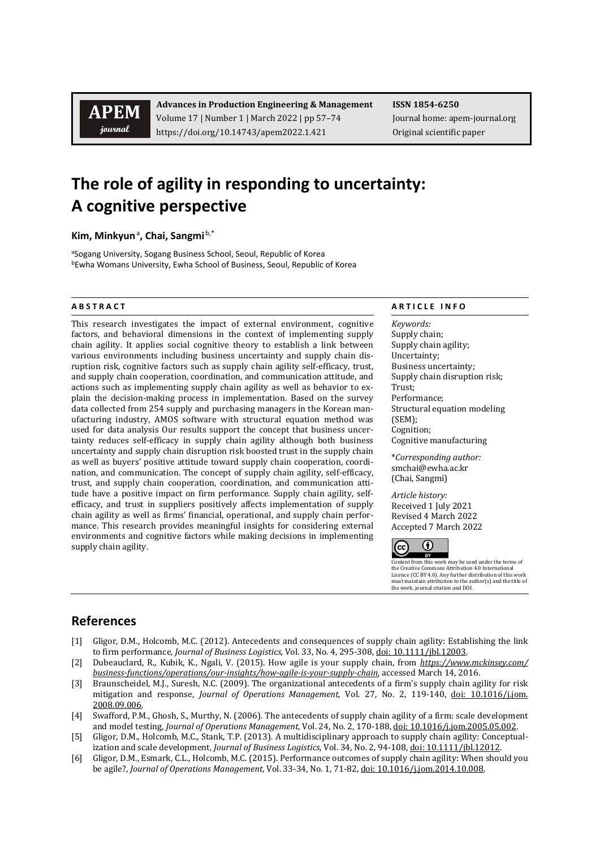**APEM** journal

**Advances in Production Engineering & Management ISSN 1854-6250** Volume 17 | Number 1 | March 2022 | pp 57-74 Journal home: apem-journal.org https://doi.org/10.14743/apem2022.1.421 Original scientific paper

## **The role of agility in responding to uncertainty: A cognitive perspective**

**Kim, Minkyun**<sup>a</sup> **, Chai, Sangmi** b,\*

<sup>a</sup>Sogang University, Sogang Business School, Seoul, Republic of Korea bEwha Womans University, Ewha School of Business, Seoul, Republic of Korea

This research investigates the impact of external environment, cognitive factors, and behavioral dimensions in the context of implementing supply chain agility. It applies social cognitive theory to establish a link between various environments including business uncertainty and supply chain disruption risk, cognitive factors such as supply chain agility self-efficacy, trust, and supply chain cooperation, coordination, and communication attitude, and actions such as implementing supply chain agility as well as behavior to explain the decision-making process in implementation. Based on the survey data collected from 254 supply and purchasing managers in the Korean manufacturing industry, AMOS software with structural equation method was used for data analysis Our results support the concept that business uncertainty reduces self-efficacy in supply chain agility although both business uncertainty and supply chain disruption risk boosted trust in the supply chain as well as buyers' positive attitude toward supply chain cooperation, coordination, and communication. The concept of supply chain agility, self-efficacy, trust, and supply chain cooperation, coordination, and communication attitude have a positive impact on firm performance. Supply chain agility, selfefficacy, and trust in suppliers positively affects implementation of supply chain agility as well as firms' financial, operational, and supply chain performance. This research provides meaningful insights for considering external environments and cognitive factors while making decisions in implementing supply chain agility.

## **A B S T R A C T A R T I C L E I N F O**

*Keywords:* Supply chain; Supply chain agility; Uncertainty; Business uncertainty; Supply chain disruption risk; Trust; Performance; Structural equation modeling (SEM); Cognition; Cognitive manufacturing

\**Corresponding author:*  smchai@ewha.ac.kr (Chai, Sangmi)

*Article history:*  Received 1 July 2021 Revised 4 March 2022 Accepted 7 March 2022



Content from this work may be used under the terms of the Creative Commons Attribution 4.0 International Licence (CC BY 4.0). Any further distribution of this work must maintain attribution to the author(s) and the title of the work, journal citation and DOI.

## **References**

- [1] Gligor, D.M., Holcomb, M.C. (2012). Antecedents and consequences of supply chain agility: Establishing the link to firm performance, *Journal of Business Logistics,* Vol. 33, No. 4, 295-308[, doi: 10.1111/jbl.12003.](https://doi.org/10.1111/jbl.12003)
- [2] Dubeauclard, R., Kubik, K., Ngali, V. (2015). How agile is your supply chain, from *[https://www.mckinsey.com/](https://www.mckinsey.com/%20business-functions/operations/our-insights/how-agile-is-your-supply-chain)  [business-functions/operations/our-insights/how-agile-is-your-supply-chain](https://www.mckinsey.com/%20business-functions/operations/our-insights/how-agile-is-your-supply-chain)*, accessed March 14, 2016.
- [3] Braunscheidel, M.J., Suresh, N.C. (2009). The organizational antecedents of a firm's supply chain agility for risk mitigation and response, *Journal of Operations Management,* Vol. 27, No. 2, 119-140, [doi: 10.1016/j.jom.](https://doi.org/10.1016/j.jom.2008.09.006) [2008.09.006.](https://doi.org/10.1016/j.jom.2008.09.006)
- [4] Swafford, P.M., Ghosh, S., Murthy, N. (2006). The antecedents of supply chain agility of a firm: scale development and model testing, *Journal of Operations Management,* Vol. 24, No. 2, 170-188[, doi: 10.1016/j.jom.2005.05.002.](https://doi.org/10.1016/j.jom.2005.05.002)
- [5] Gligor, D.M., Holcomb, M.C., Stank, T.P. (2013). A multidisciplinary approach to supply chain agility: Conceptualization and scale development, *Journal of Business Logistics*, Vol. 34, No. 2, 94-108, [doi: 10.1111/jbl.12012.](https://doi.org/10.1111/jbl.12012)
- [6] Gligor, D.M., Esmark, C.L., Holcomb, M.C. (2015). Performance outcomes of supply chain agility: When should you be agile?, *Journal of Operations Management*, Vol. 33-34, No. 1, 71-82[, doi: 10.1016/j.jom.2014.10.008.](https://doi.org/10.1016/j.jom.2014.10.008)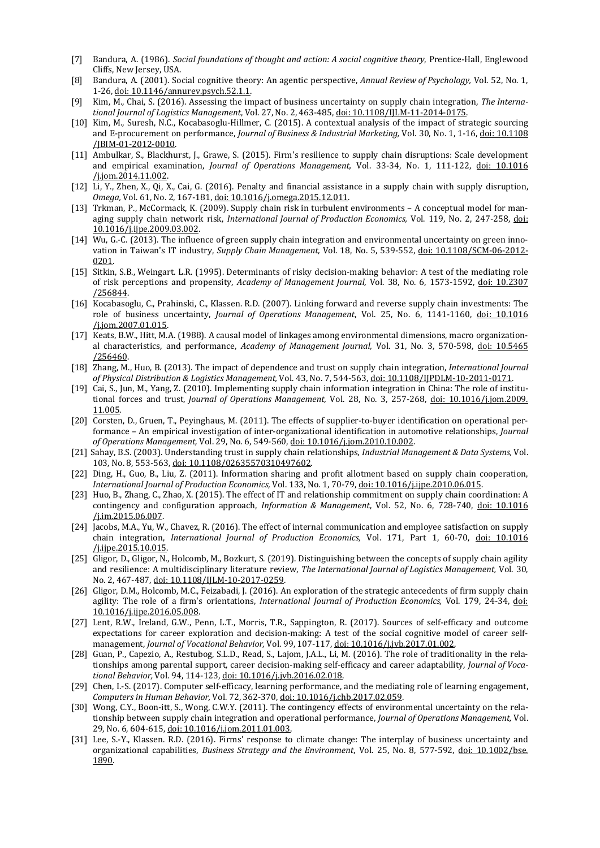- [7] Bandura, A. (1986). *Social foundations of thought and action: A social cognitive theory*, Prentice-Hall, Englewood Cliffs, New Jersey, USA.
- [8] Bandura, A. (2001). Social cognitive theory: An agentic perspective, *Annual Review of Psychology,* Vol. 52, No. 1, 1-26, [doi: 10.1146/annurev.psych.52.1.1.](https://doi.org/10.1146/annurev.psych.52.1.1)
- [9] Kim, M., Chai, S. (2016). Assessing the impact of business uncertainty on supply chain integration, *The International Journal of Logistics Management*, Vol. 27, No. 2, 463-485[, doi: 10.1108/IJLM-11-2014-0175.](https://doi.org/10.1108/IJLM-11-2014-0175)
- [10] Kim, M., Suresh, N.C., Kocabasoglu-Hillmer, C. (2015). A contextual analysis of the impact of strategic sourcing and E-procurement on performance, *Journal of Business & Industrial Marketing,* Vol. 30, No. 1, 1-16[, doi: 10.1108](https://doi.org/10.1108/JBIM-01-2012-0010) [/JBIM-01-2012-0010.](https://doi.org/10.1108/JBIM-01-2012-0010)
- [11] Ambulkar, S., Blackhurst, J., Grawe, S. (2015). Firm's resilience to supply chain disruptions: Scale development and empirical examination, *Journal of Operations Management,* Vol. 33-34, No. 1, 111-122, [doi: 10.1016](https://doi.org/10.1016/j.jom.2014.11.002) [/j.jom.2014.11.002.](https://doi.org/10.1016/j.jom.2014.11.002)
- [12] Li, Y., Zhen, X., Qi, X., Cai, G. (2016). Penalty and financial assistance in a supply chain with supply disruption, *Omega,* Vol. 61, No. 2, 167-181, [doi: 10.1016/j.omega.2015.12.011.](https://doi.org/10.1016/j.omega.2015.12.011)
- [13] Trkman, P., McCormack, K. (2009). Supply chain risk in turbulent environments A conceptual model for managing supply chain network risk, *International Journal of Production Economics,* Vol. 119, No. 2, 247-258, [doi:](https://doi.org/10.1016/j.ijpe.2009.03.002)  [10.1016/j.ijpe.2009.03.002.](https://doi.org/10.1016/j.ijpe.2009.03.002)
- [14] Wu, G.-C. (2013). The influence of green supply chain integration and environmental uncertainty on green innovation in Taiwan's IT industry, *Supply Chain Management,* Vol. 18, No. 5, 539-552, [doi: 10.1108/SCM-06-2012-](https://doi.org/10.1108/SCM-06-2012-0201) [0201.](https://doi.org/10.1108/SCM-06-2012-0201)
- [15] Sitkin, S.B., Weingart. L.R. (1995). Determinants of risky decision-making behavior: A test of the mediating role of risk perceptions and propensity, *Academy of Management Journal,* Vol. 38, No. 6, 1573-1592, [doi: 10.2307](https://doi.org/10.5465/256844) [/256844.](https://doi.org/10.5465/256844)
- [16] Kocabasoglu, C., Prahinski, C., Klassen. R.D. (2007). Linking forward and reverse supply chain investments: The role of business uncertainty, *Journal of Operations Management*, Vol. 25, No. 6, 1141-1160, [doi: 10.1016](https://doi.org/10.1016/j.jom.2007.01.015) [/j.jom.2007.01.015.](https://doi.org/10.1016/j.jom.2007.01.015)
- [17] Keats, B.W., Hitt, M.A. (1988). A causal model of linkages among environmental dimensions, macro organizational characteristics, and performance, *Academy of Management Journal,* Vol. 31, No. 3, 570-598, [doi: 10.5465](https://doi.org/10.5465/256460) [/256460.](https://doi.org/10.5465/256460)
- [18] Zhang, M., Huo, B. (2013). The impact of dependence and trust on supply chain integration, *International Journal of Physical Distribution & Logistics Management,* Vol. 43, No. 7, 544-563, [doi: 10.1108/IJPDLM-10-2011-0171.](https://doi.org/10.1108/IJPDLM-10-2011-0171)
- [19] Cai, S., Jun, M., Yang, Z. (2010). Implementing supply chain information integration in China: The role of institutional forces and trust, *Journal of Operations Management,* Vol. 28, No. 3, 257-268, [doi: 10.1016/j.jom.2009.](https://doi.org/10.1016/j.jom.2009.11.005) [11.005.](https://doi.org/10.1016/j.jom.2009.11.005)
- [20] Corsten, D., Gruen, T., Peyinghaus, M. (2011). The effects of supplier-to-buyer identification on operational performance – An empirical investigation of inter-organizational identification in automotive relationships, *Journal of Operations Management,* Vol. 29, No. 6, 549-560[, doi: 10.1016/j.jom.2010.10.002.](https://doi.org/10.1016/j.jom.2010.10.002)
- [21] Sahay, B.S. (2003). Understanding trust in supply chain relationships, *Industrial Management & Data Systems,* Vol. 103, No. 8, 553-563, [doi: 10.1108/02635570310497602.](https://doi.org/10.1108/02635570310497602)
- [22] Ding, H., Guo, B., Liu, Z. (2011). Information sharing and profit allotment based on supply chain cooperation, *International Journal of Production Economics,* Vol. 133, No. 1, 70-79, [doi: 10.1016/j.ijpe.2010.06.015.](https://doi.org/10.1016/j.ijpe.2010.06.015)
- [23] Huo, B., Zhang, C., Zhao, X. (2015). The effect of IT and relationship commitment on supply chain coordination: A contingency and configuration approach, *Information & Management*, Vol. 52, No. 6, 728-740, [doi: 10.1016](https://doi.org/10.1016/j.im.2015.06.007) [/j.im.2015.06.007.](https://doi.org/10.1016/j.im.2015.06.007)
- [24] Jacobs, M.A., Yu, W., Chavez, R. (2016). The effect of internal communication and employee satisfaction on supply chain integration, *International Journal of Production Economics,* Vol. 171, Part 1, 60-70, [doi: 10.1016](https://doi.org/10.1016/j.ijpe.2015.10.015) [/j.ijpe.2015.10.015.](https://doi.org/10.1016/j.ijpe.2015.10.015)
- [25] Gligor, D., Gligor, N., Holcomb, M., Bozkurt, S. (2019). Distinguishing between the concepts of supply chain agility and resilience: A multidisciplinary literature review, *The International Journal of Logistics Management,* Vol. 30, No. 2, 467-487[, doi: 10.1108/IJLM-10-2017-0259.](https://doi.org/10.1108/IJLM-10-2017-0259)
- [26] Gligor, D.M., Holcomb, M.C., Feizabadi, J. (2016). An exploration of the strategic antecedents of firm supply chain agility: The role of a firm's orientations, *International Journal of Production Economics,* Vol. 179, 24-34, [doi:](https://doi.org/10.1016/j.ijpe.2016.05.008)  [10.1016/j.ijpe.2016.05.008.](https://doi.org/10.1016/j.ijpe.2016.05.008)
- [27] Lent, R.W., Ireland, G.W., Penn, L.T., Morris, T.R., Sappington, R. (2017). Sources of self-efficacy and outcome expectations for career exploration and decision-making: A test of the social cognitive model of career selfmanagement, *Journal of Vocational Behavior,* Vol. 99, 107-117, [doi: 10.1016/j.jvb.2017.01.002.](https://doi.org/10.1016/j.jvb.2017.01.002)
- [28] Guan, P., Capezio, A., Restubog, S.L.D., Read, S., Lajom, J.A.L., Li, M. (2016). The role of traditionality in the relationships among parental support, career decision-making self-efficacy and career adaptability, *Journal of Vocational Behavior,* Vol. 94, 114-123[, doi: 10.1016/j.jvb.2016.02.018.](https://doi.org/10.1016/j.jvb.2016.02.018)
- [29] Chen, I.-S. (2017). Computer self-efficacy, learning performance, and the mediating role of learning engagement, *Computers in Human Behavior,* Vol. 72, 362-370, [doi: 10.1016/j.chb.2017.02.059.](https://doi.org/10.1016/j.chb.2017.02.059)
- [30] Wong, C.Y., Boon-itt, S., Wong, C.W.Y. (2011). The contingency effects of environmental uncertainty on the relationship between supply chain integration and operational performance, *Journal of Operations Management,* Vol. 29, No. 6, 604-615[, doi: 10.1016/j.jom.2011.01.003.](https://doi.org/10.1016/j.jom.2011.01.003)
- [31] Lee, S.-Y., Klassen. R.D. (2016). Firms' response to climate change: The interplay of business uncertainty and organizational capabilities, *Business Strategy and the Environment*, Vol. 25, No. 8, 577-592, [doi: 10.1002/bse.](https://doi.org/10.1002/bse.1890) [1890.](https://doi.org/10.1002/bse.1890)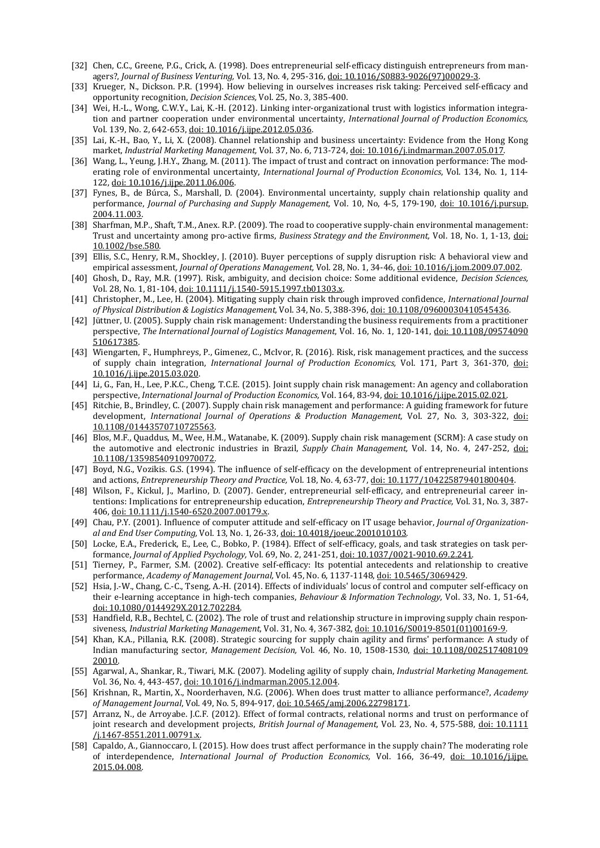- [32] Chen, C.C., Greene, P.G., Crick, A. (1998). Does entrepreneurial self-efficacy distinguish entrepreneurs from managers?, *Journal of Business Venturing,* Vol. 13, No. 4, 295-316[, doi: 10.1016/S0883-9026\(97\)00029-3.](https://doi.org/10.1016/S0883-9026(97)00029-3)
- [33] Krueger, N., Dickson. P.R. (1994). How believing in ourselves increases risk taking: Perceived self-efficacy and opportunity recognition, *Decision Sciences,* Vol. 25, No. 3, 385-400.
- [34] Wei, H.-L., Wong, C.W.Y., Lai, K.-H. (2012). Linking inter-organizational trust with logistics information integration and partner cooperation under environmental uncertainty, *International Journal of Production Economics,* Vol. 139, No. 2, 642-653[, doi: 10.1016/j.ijpe.2012.05.036.](https://doi.org/10.1016/j.ijpe.2012.05.036)
- [35] Lai, K.-H., Bao, Y., Li, X. (2008). Channel relationship and business uncertainty: Evidence from the Hong Kong market, *Industrial Marketing Management,* Vol. 37, No. 6, 713-724[, doi: 10.1016/j.indmarman.2007.05.017.](https://doi.org/10.1016/j.indmarman.2007.05.017)
- [36] Wang, L., Yeung, J.H.Y., Zhang, M. (2011). The impact of trust and contract on innovation performance: The moderating role of environmental uncertainty, *International Journal of Production Economics*, Vol. 134, No. 1, 114- 122, [doi: 10.1016/j.ijpe.2011.06.006.](https://doi.org/10.1016/j.ijpe.2011.06.006)
- [37] Fynes, B., de Búrca, S., Marshall, D. (2004). Environmental uncertainty, supply chain relationship quality and performance, *Journal of Purchasing and Supply Management,* Vol. 10, No, 4-5, 179-190, [doi: 10.1016/j.pursup.](https://doi.org/10.1016/j.pursup.2004.11.003) [2004.11.003.](https://doi.org/10.1016/j.pursup.2004.11.003)
- [38] Sharfman, M.P., Shaft, T.M., Anex. R.P. (2009). The road to cooperative supply-chain environmental management: Trust and uncertainty among pro-active firms, *Business Strategy and the Environment,* Vol. 18, No. 1, 1-13, [doi:](https://doi.org/10.1002/bse.580)  [10.1002/bse.580.](https://doi.org/10.1002/bse.580)
- [39] Ellis, S.C., Henry, R.M., Shockley, J. (2010). Buyer perceptions of supply disruption risk: A behavioral view and empirical assessment*, Journal of Operations Management,* Vol. 28, No. 1, 34-46[, doi: 10.1016/j.jom.2009.07.002.](https://doi.org/10.1016/j.jom.2009.07.002)
- [40] Ghosh, D., Ray, M.R. (1997). Risk, ambiguity, and decision choice: Some additional evidence, *Decision Sciences,* Vol. 28, No. 1, 81-104[, doi: 10.1111/j.1540-5915.1997.tb01303.x.](https://doi.org/10.1111/j.1540-5915.1997.tb01303.x)
- [41] Christopher, M., Lee, H. (2004). Mitigating supply chain risk through improved confidence, *International Journal of Physical Distribution & Logistics Management,* Vol. 34, No. 5, 388-396, [doi: 10.1108/09600030410545436.](https://doi.org/10.1108/09600030410545436)
- [42] Jüttner, U. (2005). Supply chain risk management: Understanding the business requirements from a practitioner perspective, *The International Journal of Logistics Management*, Vol. 16, No. 1, 120-141, [doi: 10.1108/09574090](https://doi.org/10.1108/09574090510617385) [510617385.](https://doi.org/10.1108/09574090510617385)
- [43] Wiengarten, F., Humphreys, P., Gimenez, C., McIvor, R. (2016). Risk, risk management practices, and the success of supply chain integration, *International Journal of Production Economics,* Vol. 171, Part 3, 361-370, [doi:](https://doi.org/10.1016/j.ijpe.2015.03.020)  [10.1016/j.ijpe.2015.03.020.](https://doi.org/10.1016/j.ijpe.2015.03.020)
- [44] Li, G., Fan, H., Lee, P.K.C., Cheng, T.C.E. (2015). Joint supply chain risk management: An agency and collaboration perspective, *International Journal of Production Economics,* Vol. 164, 83-94[, doi: 10.1016/j.ijpe.2015.02.021.](https://doi.org/10.1016/j.ijpe.2015.02.021)
- [45] Ritchie, B., Brindley, C. (2007). Supply chain risk management and performance: A guiding framework for future development, *International Journal of Operations & Production Management,* Vol. 27, No. 3, 303-322, [doi:](https://doi.org/10.1108/01443570710725563)  [10.1108/01443570710725563.](https://doi.org/10.1108/01443570710725563)
- [46] Blos, M.F., Quaddus, M., Wee, H.M., Watanabe, K. (2009). Supply chain risk management (SCRM): A case study on the automotive and electronic industries in Brazil, *Supply Chain Management,* Vol. 14, No. 4, 247-252, [doi:](https://doi.org/10.1108/13598540910970072)  [10.1108/13598540910970072.](https://doi.org/10.1108/13598540910970072)
- [47] Boyd, N.G., Vozikis. G.S. (1994). The influence of self-efficacy on the development of entrepreneurial intentions and actions, *Entrepreneurship Theory and Practice,* Vol. 18, No. 4, 63-77, [doi: 10.1177/104225879401800404.](https://doi.org/10.1177/104225879401800404)
- [48] Wilson, F., Kickul, J., Marlino, D. (2007). Gender, entrepreneurial self-efficacy, and entrepreneurial career intentions: Implications for entrepreneurship education, *Entrepreneurship Theory and Practice,* Vol. 31, No. 3, 387- 406, [doi: 10.1111/j.1540-6520.2007.00179.x.](https://doi.org/10.1111/j.1540-6520.2007.00179.x)
- [49] Chau, P.Y. (2001). Influence of computer attitude and self-efficacy on IT usage behavior, *Journal of Organizational and End User Computing,* Vol. 13, No. 1, 26-33[, doi: 10.4018/joeuc.2001010103.](https://doi.org/10.4018/joeuc.2001010103)
- [50] Locke, E.A., Frederick, E., Lee, C., Bobko, P. (1984). Effect of self-efficacy, goals, and task strategies on task performance, *Journal of Applied Psychology,* Vol. 69, No. 2, 241-251[, doi: 10.1037/0021-9010.69.2.241.](https://doi.org/10.1037/0021-9010.69.2.241)
- [51] Tierney, P., Farmer, S.M. (2002). Creative self-efficacy: Its potential antecedents and relationship to creative performance, *Academy of Management Journal,* Vol. 45, No. 6, 1137-1148[, doi: 10.5465/3069429.](https://doi.org/10.5465/3069429)
- [52] Hsia, J.-W., Chang, C.-C., Tseng, A.-H. (2014). Effects of individuals' locus of control and computer self-efficacy on their e-learning acceptance in high-tech companies, *Behaviour & Information Technology,* Vol. 33, No. 1, 51-64, [doi: 10.1080/0144929X.2012.702284.](https://doi.org/10.1080/0144929X.2012.702284)
- [53] Handfield, R.B., Bechtel, C. (2002). The role of trust and relationship structure in improving supply chain responsiveness, *Industrial Marketing Management*, Vol. 31, No. 4, 367-382, [doi: 10.1016/S0019-8501\(01\)00169-9.](https://doi.org/10.1016/S0019-8501(01)00169-9)
- [54] Khan, K.A., Pillania, R.K. (2008). Strategic sourcing for supply chain agility and firms' performance: A study of Indian manufacturing sector, *Management Decision,* Vol. 46, No. 10, 1508-1530, [doi: 10.1108/002517408109](https://doi.org/10.1108/00251740810920010) [20010.](https://doi.org/10.1108/00251740810920010)
- [55] Agarwal, A., Shankar, R., Tiwari, M.K. (2007). Modeling agility of supply chain, *Industrial Marketing Management.* Vol. 36, No. 4, 443-457[, doi: 10.1016/j.indmarman.2005.12.004.](https://doi.org/10.1016/j.indmarman.2005.12.004)
- [56] Krishnan, R., Martin, X., Noorderhaven, N.G. (2006). When does trust matter to alliance performance?, *Academy of Management Journal*, Vol. 49, No. 5, 894-917, [doi: 10.5465/amj.2006.22798171.](https://doi.org/10.5465/amj.2006.22798171)
- [57] Arranz, N., de Arroyabe. J.C.F. (2012). Effect of formal contracts, relational norms and trust on performance of joint research and development projects, *British Journal of Management,* Vol. 23, No. 4, 575-588, [doi: 10.1111](https://doi.org/10.1111/j.1467-8551.2011.00791.x) [/j.1467-8551.2011.00791.x.](https://doi.org/10.1111/j.1467-8551.2011.00791.x)
- [58] Capaldo, A., Giannoccaro, I. (2015). How does trust affect performance in the supply chain? The moderating role of interdependence, *International Journal of Production Economics,* Vol. 166, 36-49, [doi: 10.1016/j.ijpe.](https://doi.org/10.1016/j.ijpe.2015.04.008) [2015.04.008.](https://doi.org/10.1016/j.ijpe.2015.04.008)